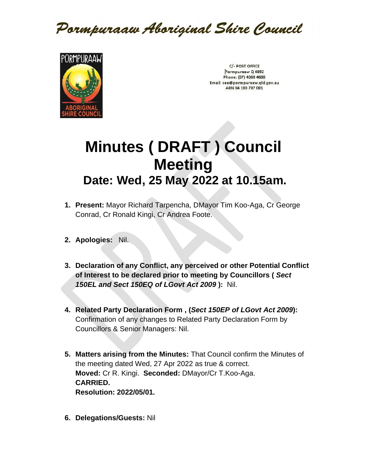Pormpuraaw Aboriginal Shire Council



C/- POST OFFICE Pormpuraaw Q 4892 Phone: (07) 4060 4600 Email: ceo@pormpuraaw.qld.gov.au ABN 34 103 787 081

## **Minutes ( DRAFT ) Council Meeting Date: Wed, 25 May 2022 at 10.15am.**

- **1. Present:** Mayor Richard Tarpencha, DMayor Tim Koo-Aga, Cr George Conrad, Cr Ronald Kingi, Cr Andrea Foote.
- **2. Apologies:** Nil.
- **3. Declaration of any Conflict, any perceived or other Potential Conflict of Interest to be declared prior to meeting by Councillors (** *Sect 150EL and Sect 150EQ of LGovt Act 2009* **):** Nil.
- **4. Related Party Declaration Form , (***Sect 150EP of LGovt Act 2009***):**  Confirmation of any changes to Related Party Declaration Form by Councillors & Senior Managers: Nil.
- **5. Matters arising from the Minutes:** That Council confirm the Minutes of the meeting dated Wed, 27 Apr 2022 as true & correct. **Moved:** Cr R. Kingi. **Seconded:** DMayor/Cr T.Koo-Aga. **CARRIED. Resolution: 2022/05/01.**
- **6. Delegations/Guests:** Nil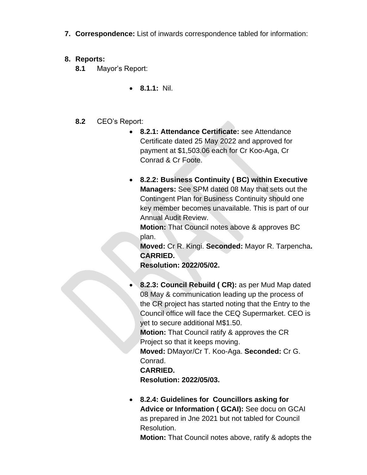**7. Correspondence:** List of inwards correspondence tabled for information:

## **8. Reports:**

- **8.1** Mayor's Report:
	- **8.1.1:** Nil.

## **8.2** CEO's Report:

- **8.2.1: Attendance Certificate:** see Attendance Certificate dated 25 May 2022 and approved for payment at \$1,503.06 each for Cr Koo-Aga, Cr Conrad & Cr Foote.
- **8.2.2: Business Continuity ( BC) within Executive Managers:** See SPM dated 08 May that sets out the Contingent Plan for Business Continuity should one key member becomes unavailable. This is part of our Annual Audit Review.

**Motion:** That Council notes above & approves BC plan.

**Moved:** Cr R. Kingi. **Seconded:** Mayor R. Tarpencha**. CARRIED.** 

**Resolution: 2022/05/02.**

• **8.2.3: Council Rebuild ( CR):** as per Mud Map dated 08 May & communication leading up the process of the CR project has started noting that the Entry to the Council office will face the CEQ Supermarket. CEO is yet to secure additional M\$1.50. **Motion:** That Council ratify & approves the CR Project so that it keeps moving. **Moved:** DMayor/Cr T. Koo-Aga. **Seconded:** Cr G. Conrad. **CARRIED.** 

**Resolution: 2022/05/03.**

• **8.2.4: Guidelines for Councillors asking for Advice or Information ( GCAI):** See docu on GCAI as prepared in Jne 2021 but not tabled for Council Resolution.

**Motion:** That Council notes above, ratify & adopts the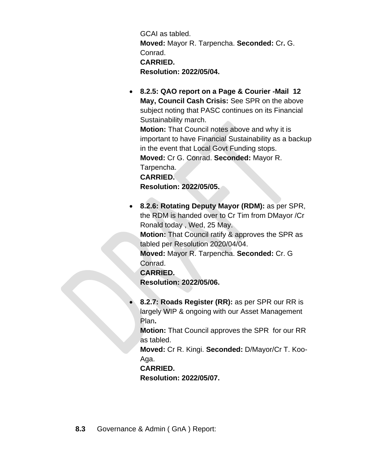GCAI as tabled. **Moved:** Mayor R. Tarpencha. **Seconded:** Cr**.** G. Conrad. **CARRIED. Resolution: 2022/05/04.**

• **8.2.5: QAO report on a Page & Courier -Mail 12 May, Council Cash Crisis:** See SPR on the above subject noting that PASC continues on its Financial Sustainability march.

**Motion:** That Council notes above and why it is important to have Financial Sustainability as a backup in the event that Local Govt Funding stops. **Moved:** Cr G. Conrad. **Seconded:** Mayor R. Tarpencha.

**CARRIED.** 

**Resolution: 2022/05/05.**

• **8.2.6: Rotating Deputy Mayor (RDM):** as per SPR, the RDM is handed over to Cr Tim from DMayor /Cr Ronald today , Wed, 25 May.

**Motion:** That Council ratify & approves the SPR as tabled per Resolution 2020/04/04.

**Moved:** Mayor R. Tarpencha. **Seconded:** Cr. G Conrad.

**CARRIED.** 

**Resolution: 2022/05/06.**

• **8.2.7: Roads Register (RR):** as per SPR our RR is largely WIP & ongoing with our Asset Management Plan**.** 

**Motion:** That Council approves the SPR for our RR as tabled.

**Moved:** Cr R. Kingi. **Seconded:** D/Mayor/Cr T. Koo-Aga.

**CARRIED.** 

**Resolution: 2022/05/07.**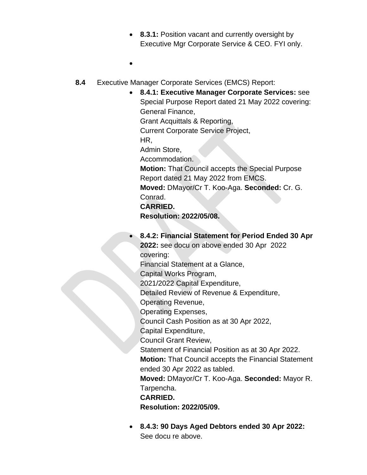- 8.3.1: Position vacant and currently oversight by Executive Mgr Corporate Service & CEO. FYI only.
- •
- **8.4** Executive Manager Corporate Services (EMCS) Report:
	- **8.4.1: Executive Manager Corporate Services:** see Special Purpose Report dated 21 May 2022 covering: General Finance, Grant Acquittals & Reporting, Current Corporate Service Project, HR, Admin Store, Accommodation. **Motion:** That Council accepts the Special Purpose Report dated 21 May 2022 from EMCS. **Moved:** DMayor/Cr T. Koo-Aga. **Seconded:** Cr. G. Conrad. **CARRIED. Resolution: 2022/05/08.** • **8.4.2: Financial Statement for Period Ended 30 Apr 2022:** see docu on above ended 30 Apr 2022 covering: Financial Statement at a Glance, Capital Works Program, 2021/2022 Capital Expenditure, Detailed Review of Revenue & Expenditure, Operating Revenue, Operating Expenses, Council Cash Position as at 30 Apr 2022, Capital Expenditure, Council Grant Review, Statement of Financial Position as at 30 Apr 2022. **Motion:** That Council accepts the Financial Statement ended 30 Apr 2022 as tabled. **Moved:** DMayor/Cr T. Koo-Aga. **Seconded:** Mayor R. Tarpencha. **CARRIED. Resolution: 2022/05/09.**
		- **8.4.3: 90 Days Aged Debtors ended 30 Apr 2022:**  See docu re above.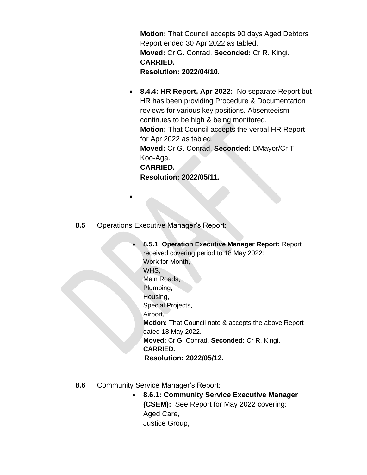**Motion:** That Council accepts 90 days Aged Debtors Report ended 30 Apr 2022 as tabled. **Moved:** Cr G. Conrad. **Seconded:** Cr R. Kingi. **CARRIED. Resolution: 2022/04/10.**

- **8.4.4: HR Report, Apr 2022:** No separate Report but HR has been providing Procedure & Documentation reviews for various key positions. Absenteeism continues to be high & being monitored. **Motion:** That Council accepts the verbal HR Report for Apr 2022 as tabled. **Moved:** Cr G. Conrad. **Seconded:** DMayor/Cr T. Koo-Aga. **CARRIED. Resolution: 2022/05/11.**
- **8.5** Operations Executive Manager's Report:

•

- **8.5.1: Operation Executive Manager Report:** Report received covering period to 18 May 2022: Work for Month, WHS, Main Roads, Plumbing, Housing, Special Projects, Airport, **Motion:** That Council note & accepts the above Report dated 18 May 2022. **Moved:** Cr G. Conrad. **Seconded:** Cr R. Kingi. **CARRIED. Resolution: 2022/05/12.**
- **8.6** Community Service Manager's Report:
	- **8.6.1: Community Service Executive Manager (CSEM):** See Report for May 2022 covering: Aged Care, Justice Group,